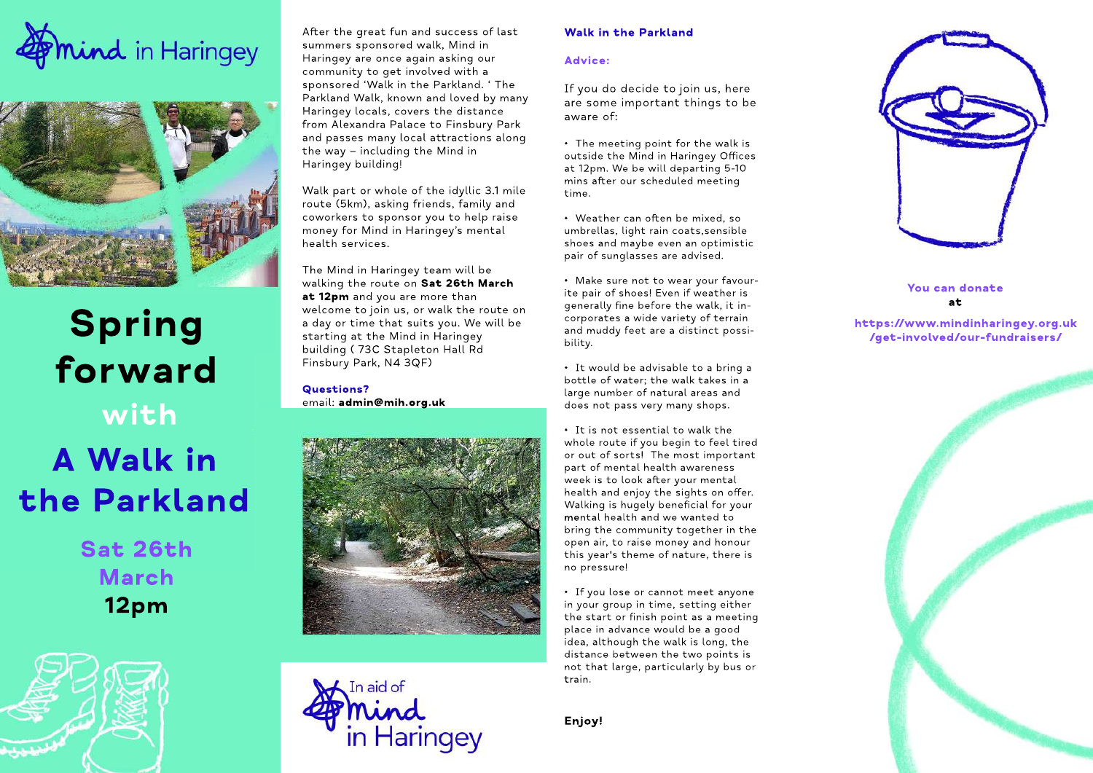



# **Spring forward with AWalkin the Parkland**

**Sat26th March 12pm**



After the great fun and success of last summers sponsored walk, Mind in Haringey are once again asking our community to get involved with a sponsored 'Walk in the Parkland. 'The Parkland Walk, known and loved by many Haringey locals, covers the distance from Alexandra Palace to Finsbury Park and passes many local attractions along the way  $-$  including the Mind in Haringey building!

Walk part or whole of the idyllic 3.1 mile route (5km), asking friends, family and coworkers to sponsor you to help raise money for Mind in Haringey's mental health services.

The Mind in Haringey team will be walking the route on Sat 26th March at 12pm and you are more than welcome to join us, or walk the route on a day or time that suits you. We will be starting at the Mind in Haringey building (73C Stapleton Hall Rd Finsbury Park, N4 3QF)

**Questions?** email: admin@mih.org.uk





#### **Walk in the Parkland**

#### **Advice:**

If you do decide to join us, here are some important things to be aware of:

• The meeting point for the walk is outside the Mind in Haringey Offices at 12pm. We be will departing 5-10 mins after our scheduled meeting time.

• Weather can often be mixed, so umbrellas, light rain coats, sensible shoes and maybe even an optimistic pair of sunglasses are advised.

• Make sure not to wear your favourite pair of shoes! Even if weather is generally fine before the walk, it incorporates a wide variety of terrain and muddy feet are a distinct possibility.

• It would be advisable to a bring a bottle of water; the walk takes in a large number of natural areas and does not pass very many shops.

• It is not essential to walk the whole route if you begin to feel tired or out of sorts! The most important part of mental health awareness week is to look after your mental health and enjoy the sights on offer. Walking is hugely beneficial for your mental health and we wanted to bring the community together in the open air, to raise money and honour this year's theme of nature, there is no pressure!

• If you lose or cannot meet anyone in your group in time, setting either the start or finish point as a meeting place in advance would be a good idea, although the walk is long, the distance between the two points is not that large, particularly by bus or train.

**Enjoy!**



**Youcandonate at**

### **https://www.mindinharingey.org.uk /get-involved/our-fundraisers/**